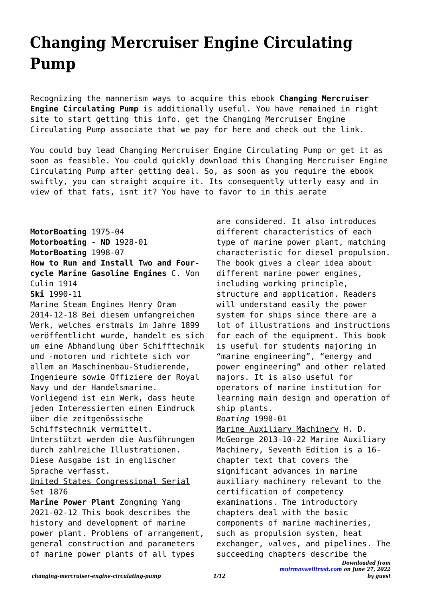## **Changing Mercruiser Engine Circulating Pump**

Recognizing the mannerism ways to acquire this ebook **Changing Mercruiser Engine Circulating Pump** is additionally useful. You have remained in right site to start getting this info. get the Changing Mercruiser Engine Circulating Pump associate that we pay for here and check out the link.

You could buy lead Changing Mercruiser Engine Circulating Pump or get it as soon as feasible. You could quickly download this Changing Mercruiser Engine Circulating Pump after getting deal. So, as soon as you require the ebook swiftly, you can straight acquire it. Its consequently utterly easy and in view of that fats, isnt it? You have to favor to in this aerate

**MotorBoating** 1975-04 **Motorboating - ND** 1928-01 **MotorBoating** 1998-07 **How to Run and Install Two and Fourcycle Marine Gasoline Engines** C. Von Culin 1914 **Ski** 1990-11 Marine Steam Engines Henry Oram 2014-12-18 Bei diesem umfangreichen Werk, welches erstmals im Jahre 1899 veröffentlicht wurde, handelt es sich um eine Abhandlung über Schifftechnik und -motoren und richtete sich vor allem an Maschinenbau-Studierende, Ingenieure sowie Offiziere der Royal Navy und der Handelsmarine. Vorliegend ist ein Werk, dass heute jeden Interessierten einen Eindruck über die zeitgenössische Schiffstechnik vermittelt. Unterstützt werden die Ausführungen durch zahlreiche Illustrationen. Diese Ausgabe ist in englischer Sprache verfasst. United States Congressional Serial Set 1876 **Marine Power Plant** Zongming Yang 2021-02-12 This book describes the history and development of marine power plant. Problems of arrangement,

are considered. It also introduces different characteristics of each type of marine power plant, matching characteristic for diesel propulsion. The book gives a clear idea about different marine power engines, including working principle, structure and application. Readers will understand easily the power system for ships since there are a lot of illustrations and instructions for each of the equipment. This book is useful for students majoring in "marine engineering", "energy and power engineering" and other related majors. It is also useful for operators of marine institution for learning main design and operation of ship plants. *Boating* 1998-01 Marine Auxiliary Machinery H. D. McGeorge 2013-10-22 Marine Auxiliary Machinery, Seventh Edition is a 16 chapter text that covers the significant advances in marine auxiliary machinery relevant to the certification of competency

examinations. The introductory chapters deal with the basic components of marine machineries, such as propulsion system, heat exchanger, valves, and pipelines. The succeeding chapters describe the

general construction and parameters of marine power plants of all types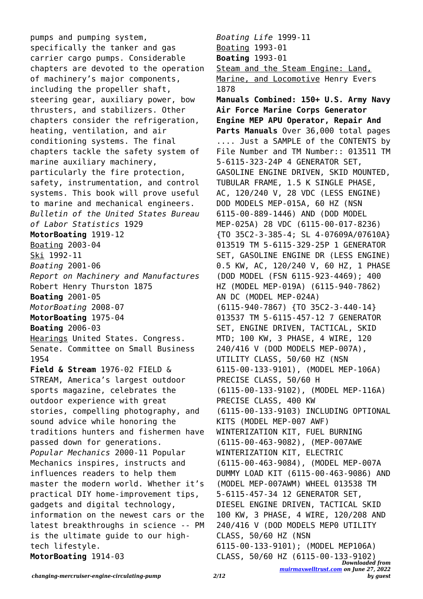pumps and pumping system, specifically the tanker and gas carrier cargo pumps. Considerable chapters are devoted to the operation of machinery's major components, including the propeller shaft, steering gear, auxiliary power, bow thrusters, and stabilizers. Other chapters consider the refrigeration, heating, ventilation, and air conditioning systems. The final chapters tackle the safety system of marine auxiliary machinery, particularly the fire protection, safety, instrumentation, and control systems. This book will prove useful to marine and mechanical engineers. *Bulletin of the United States Bureau of Labor Statistics* 1929 **MotorBoating** 1919-12 Boating 2003-04 Ski 1992-11 *Boating* 2001-06 *Report on Machinery and Manufactures* Robert Henry Thurston 1875 **Boating** 2001-05 *MotorBoating* 2008-07 **MotorBoating** 1975-04 **Boating** 2006-03 Hearings United States. Congress. Senate. Committee on Small Business 1954 **Field & Stream** 1976-02 FIELD & STREAM, America's largest outdoor sports magazine, celebrates the outdoor experience with great stories, compelling photography, and sound advice while honoring the traditions hunters and fishermen have passed down for generations. *Popular Mechanics* 2000-11 Popular Mechanics inspires, instructs and influences readers to help them master the modern world. Whether it's practical DIY home-improvement tips, gadgets and digital technology, information on the newest cars or the latest breakthroughs in science -- PM is the ultimate guide to our hightech lifestyle. **MotorBoating** 1914-03

*Downloaded from [muirmaxwelltrust.com](https://muirmaxwelltrust.com) on June 27, 2022 Boating Life* 1999-11 Boating 1993-01 **Boating** 1993-01 Steam and the Steam Engine: Land, Marine, and Locomotive Henry Evers 1878 **Manuals Combined: 150+ U.S. Army Navy Air Force Marine Corps Generator Engine MEP APU Operator, Repair And Parts Manuals** Over 36,000 total pages .... Just a SAMPLE of the CONTENTS by File Number and TM Number:: 013511 TM 5-6115-323-24P 4 GENERATOR SET, GASOLINE ENGINE DRIVEN, SKID MOUNTED, TUBULAR FRAME, 1.5 K SINGLE PHASE, AC, 120/240 V, 28 VDC (LESS ENGINE) DOD MODELS MEP-015A, 60 HZ (NSN 6115-00-889-1446) AND (DOD MODEL MEP-025A) 28 VDC (6115-00-017-8236) {TO 35C2-3-385-4; SL 4-07609A/07610A} 013519 TM 5-6115-329-25P 1 GENERATOR SET, GASOLINE ENGINE DR (LESS ENGINE) 0.5 KW, AC, 120/240 V, 60 HZ, 1 PHASE (DOD MODEL (FSN 6115-923-4469); 400 HZ (MODEL MEP-019A) (6115-940-7862) AN DC (MODEL MEP-024A) (6115-940-7867) {TO 35C2-3-440-14} 013537 TM 5-6115-457-12 7 GENERATOR SET, ENGINE DRIVEN, TACTICAL, SKID MTD; 100 KW, 3 PHASE, 4 WIRE, 120 240/416 V (DOD MODELS MEP-007A), UTILITY CLASS, 50/60 HZ (NSN 6115-00-133-9101), (MODEL MEP-106A) PRECISE CLASS, 50/60 H (6115-00-133-9102), (MODEL MEP-116A) PRECISE CLASS, 400 KW (6115-00-133-9103) INCLUDING OPTIONAL KITS (MODEL MEP-007 AWF) WINTERIZATION KIT, FUEL BURNING (6115-00-463-9082), (MEP-007AWE WINTERIZATION KIT, ELECTRIC (6115-00-463-9084), (MODEL MEP-007A DUMMY LOAD KIT (6115-00-463-9086) AND (MODEL MEP-007AWM) WHEEL 013538 TM 5-6115-457-34 12 GENERATOR SET, DIESEL ENGINE DRIVEN, TACTICAL SKID 100 KW, 3 PHASE, 4 WIRE, 120/208 AND 240/416 V (DOD MODELS MEP0 UTILITY CLASS, 50/60 HZ (NSN 6115-00-133-9101); (MODEL MEP106A) CLASS, 50/60 HZ (6115-00-133-9102)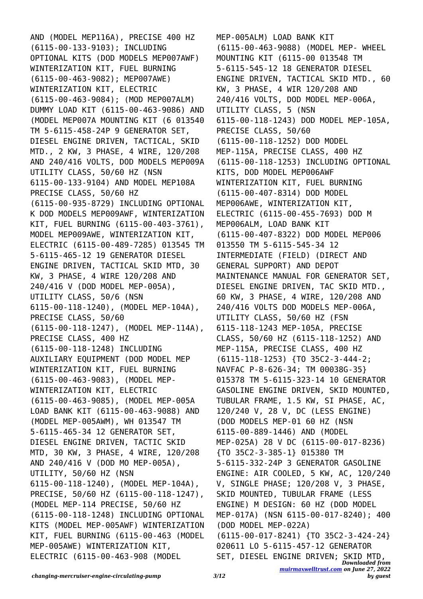AND (MODEL MEP116A), PRECISE 400 HZ (6115-00-133-9103); INCLUDING OPTIONAL KITS (DOD MODELS MEP007AWF) WINTERIZATION KIT, FUEL BURNING (6115-00-463-9082); MEP007AWE) WINTERIZATION KIT, ELECTRIC (6115-00-463-9084); (MOD MEP007ALM) DUMMY LOAD KIT (6115-00-463-9086) AND (MODEL MEP007A MOUNTING KIT (6 013540 TM 5-6115-458-24P 9 GENERATOR SET, DIESEL ENGINE DRIVEN, TACTICAL, SKID MTD., 2 KW, 3 PHASE, 4 WIRE, 120/208 AND 240/416 VOLTS, DOD MODELS MEP009A UTILITY CLASS, 50/60 HZ (NSN 6115-00-133-9104) AND MODEL MEP108A PRECISE CLASS, 50/60 HZ (6115-00-935-8729) INCLUDING OPTIONAL K DOD MODELS MEP009AWF, WINTERIZATION KIT, FUEL BURNING (6115-00-403-3761), MODEL MEP009AWE, WINTERIZATION KIT, ELECTRIC (6115-00-489-7285) 013545 TM 5-6115-465-12 19 GENERATOR DIESEL ENGINE DRIVEN, TACTICAL SKID MTD, 30 KW, 3 PHASE, 4 WIRE 120/208 AND 240/416 V (DOD MODEL MEP-005A), UTILITY CLASS, 50/6 (NSN 6115-00-118-1240), (MODEL MEP-104A), PRECISE CLASS, 50/60 (6115-00-118-1247), (MODEL MEP-114A), PRECISE CLASS, 400 HZ (6115-00-118-1248) INCLUDING AUXILIARY EQUIPMENT (DOD MODEL MEP WINTERIZATION KIT, FUEL BURNING (6115-00-463-9083), (MODEL MEP-WINTERIZATION KIT, ELECTRIC (6115-00-463-9085), (MODEL MEP-005A LOAD BANK KIT (6115-00-463-9088) AND (MODEL MEP-005AWM), WH 013547 TM 5-6115-465-34 12 GENERATOR SET, DIESEL ENGINE DRIVEN, TACTIC SKID MTD, 30 KW, 3 PHASE, 4 WIRE, 120/208 AND 240/416 V (DOD MO MEP-005A), UTILITY, 50/60 HZ (NSN 6115-00-118-1240), (MODEL MEP-104A), PRECISE, 50/60 HZ (6115-00-118-1247), (MODEL MEP-114 PRECISE, 50/60 HZ (6115-00-118-1248) INCLUDING OPTIONAL KITS (MODEL MEP-005AWF) WINTERIZATION KIT, FUEL BURNING (6115-00-463 (MODEL MEP-005AWE) WINTERIZATION KIT, ELECTRIC (6115-00-463-908 (MODEL

*Downloaded from [muirmaxwelltrust.com](https://muirmaxwelltrust.com) on June 27, 2022* MEP-005ALM) LOAD BANK KIT (6115-00-463-9088) (MODEL MEP- WHEEL MOUNTING KIT (6115-00 013548 TM 5-6115-545-12 18 GENERATOR DIESEL ENGINE DRIVEN, TACTICAL SKID MTD., 60 KW, 3 PHASE, 4 WIR 120/208 AND 240/416 VOLTS, DOD MODEL MEP-006A, UTILITY CLASS, 5 (NSN 6115-00-118-1243) DOD MODEL MEP-105A, PRECISE CLASS, 50/60 (6115-00-118-1252) DOD MODEL MEP-115A, PRECISE CLASS, 400 HZ (6115-00-118-1253) INCLUDING OPTIONAL KITS, DOD MODEL MEP006AWF WINTERIZATION KIT, FUEL BURNING (6115-00-407-8314) DOD MODEL MEP006AWE, WINTERIZATION KIT, ELECTRIC (6115-00-455-7693) DOD M MEP006ALM, LOAD BANK KIT (6115-00-407-8322) DOD MODEL MEP006 013550 TM 5-6115-545-34 12 INTERMEDIATE (FIELD) (DIRECT AND GENERAL SUPPORT) AND DEPOT MAINTENANCE MANUAL FOR GENERATOR SET, DIESEL ENGINE DRIVEN, TAC SKID MTD., 60 KW, 3 PHASE, 4 WIRE, 120/208 AND 240/416 VOLTS DOD MODELS MEP-006A, UTILITY CLASS, 50/60 HZ (FSN 6115-118-1243 MEP-105A, PRECISE CLASS, 50/60 HZ (6115-118-1252) AND MEP-115A, PRECISE CLASS, 400 HZ (6115-118-1253) {TO 35C2-3-444-2; NAVFAC P-8-626-34; TM 00038G-35} 015378 TM 5-6115-323-14 10 GENERATOR GASOLINE ENGINE DRIVEN, SKID MOUNTED, TUBULAR FRAME, 1.5 KW, SI PHASE, AC, 120/240 V, 28 V, DC (LESS ENGINE) (DOD MODELS MEP-01 60 HZ (NSN 6115-00-889-1446) AND (MODEL MEP-025A) 28 V DC (6115-00-017-8236) {TO 35C2-3-385-1} 015380 TM 5-6115-332-24P 3 GENERATOR GASOLINE ENGINE: AIR COOLED, 5 KW, AC, 120/240 V, SINGLE PHASE; 120/208 V, 3 PHASE, SKID MOUNTED, TUBULAR FRAME (LESS ENGINE) M DESIGN: 60 HZ (DOD MODEL MEP-017A) (NSN 6115-00-017-8240); 400 (DOD MODEL MEP-022A) (6115-00-017-8241) {TO 35C2-3-424-24} 020611 LO 5-6115-457-12 GENERATOR SET, DIESEL ENGINE DRIVEN; SKID MTD,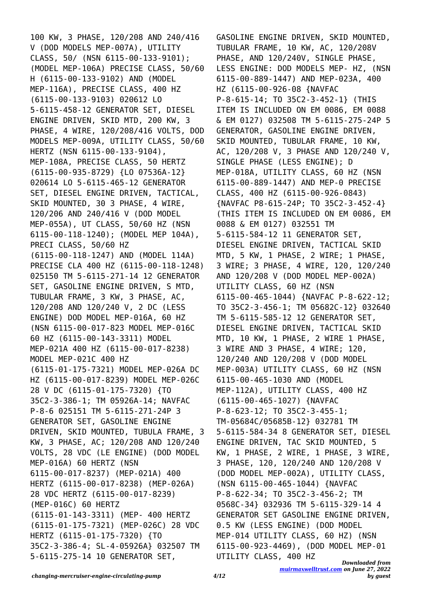100 KW, 3 PHASE, 120/208 AND 240/416 V (DOD MODELS MEP-007A), UTILITY CLASS, 50/ (NSN 6115-00-133-9101); (MODEL MEP-106A) PRECISE CLASS, 50/60 H (6115-00-133-9102) AND (MODEL MEP-116A), PRECISE CLASS, 400 HZ (6115-00-133-9103) 020612 LO 5-6115-458-12 GENERATOR SET, DIESEL ENGINE DRIVEN, SKID MTD, 200 KW, 3 PHASE, 4 WIRE, 120/208/416 VOLTS, DOD MODELS MEP-009A, UTILITY CLASS, 50/60 HERTZ (NSN 6115-00-133-9104), MEP-108A, PRECISE CLASS, 50 HERTZ (6115-00-935-8729) {LO 07536A-12} 020614 LO 5-6115-465-12 GENERATOR SET, DIESEL ENGINE DRIVEN, TACTICAL, SKID MOUNTED, 30 3 PHASE, 4 WIRE, 120/206 AND 240/416 V (DOD MODEL MEP-055A), UT CLASS, 50/60 HZ (NSN 6115-00-118-1240); (MODEL MEP 104A), PRECI CLASS, 50/60 HZ (6115-00-118-1247) AND (MODEL 114A) PRECISE CLA 400 HZ (6115-00-118-1248) 025150 TM 5-6115-271-14 12 GENERATOR SET, GASOLINE ENGINE DRIVEN, S MTD, TUBULAR FRAME, 3 KW, 3 PHASE, AC, 120/208 AND 120/240 V, 2 DC (LESS ENGINE) DOD MODEL MEP-016A, 60 HZ (NSN 6115-00-017-823 MODEL MEP-016C 60 HZ (6115-00-143-3311) MODEL MEP-021A 400 HZ (6115-00-017-8238) MODEL MEP-021C 400 HZ (6115-01-175-7321) MODEL MEP-026A DC HZ (6115-00-017-8239) MODEL MEP-026C 28 V DC (6115-01-175-7320) {TO 35C2-3-386-1; TM 05926A-14; NAVFAC P-8-6 025151 TM 5-6115-271-24P 3 GENERATOR SET, GASOLINE ENGINE DRIVEN, SKID MOUNTED, TUBULA FRAME, 3 KW, 3 PHASE, AC; 120/208 AND 120/240 VOLTS, 28 VDC (LE ENGINE) (DOD MODEL MEP-016A) 60 HERTZ (NSN 6115-00-017-8237) (MEP-021A) 400 HERTZ (6115-00-017-8238) (MEP-026A) 28 VDC HERTZ (6115-00-017-8239) (MEP-016C) 60 HERTZ (6115-01-143-3311) (MEP- 400 HERTZ (6115-01-175-7321) (MEP-026C) 28 VDC HERTZ (6115-01-175-7320) {TO 35C2-3-386-4; SL-4-05926A} 032507 TM 5-6115-275-14 10 GENERATOR SET,

*Downloaded from* GASOLINE ENGINE DRIVEN, SKID MOUNTED, TUBULAR FRAME, 10 KW, AC, 120/208V PHASE, AND 120/240V, SINGLE PHASE, LESS ENGINE: DOD MODELS MEP- HZ, (NSN 6115-00-889-1447) AND MEP-023A, 400 HZ (6115-00-926-08 {NAVFAC P-8-615-14; TO 35C2-3-452-1} (THIS ITEM IS INCLUDED ON EM 0086, EM 0088 & EM 0127) 032508 TM 5-6115-275-24P 5 GENERATOR, GASOLINE ENGINE DRIVEN, SKID MOUNTED, TUBULAR FRAME, 10 KW, AC, 120/208 V, 3 PHASE AND 120/240 V, SINGLE PHASE (LESS ENGINE); D MEP-018A, UTILITY CLASS, 60 HZ (NSN 6115-00-889-1447) AND MEP-0 PRECISE CLASS, 400 HZ (6115-00-926-0843) {NAVFAC P8-615-24P; TO 35C2-3-452-4} (THIS ITEM IS INCLUDED ON EM 0086, EM 0088 & EM 0127) 032551 TM 5-6115-584-12 11 GENERATOR SET, DIESEL ENGINE DRIVEN, TACTICAL SKID MTD, 5 KW, 1 PHASE, 2 WIRE; 1 PHASE, 3 WIRE; 3 PHASE, 4 WIRE, 120, 120/240 AND 120/208 V (DOD MODEL MEP-002A) UTILITY CLASS, 60 HZ (NSN 6115-00-465-1044) {NAVFAC P-8-622-12; TO 35C2-3-456-1; TM 05682C-12} 032640 TM 5-6115-585-12 12 GENERATOR SET, DIESEL ENGINE DRIVEN, TACTICAL SKID MTD, 10 KW, 1 PHASE, 2 WIRE 1 PHASE, 3 WIRE AND 3 PHASE, 4 WIRE; 120, 120/240 AND 120/208 V (DOD MODEL MEP-003A) UTILITY CLASS, 60 HZ (NSN 6115-00-465-1030 AND (MODEL MEP-112A), UTILITY CLASS, 400 HZ (6115-00-465-1027) {NAVFAC P-8-623-12; TO 35C2-3-455-1; TM-05684C/05685B-12} 032781 TM 5-6115-584-34 8 GENERATOR SET, DIESEL ENGINE DRIVEN, TAC SKID MOUNTED, 5 KW, 1 PHASE, 2 WIRE, 1 PHASE, 3 WIRE, 3 PHASE, 120, 120/240 AND 120/208 V (DOD MODEL MEP-002A), UTILITY CLASS, (NSN 6115-00-465-1044) {NAVFAC P-8-622-34; TO 35C2-3-456-2; TM 0568C-34} 032936 TM 5-6115-329-14 4 GENERATOR SET GASOLINE ENGINE DRIVEN, 0.5 KW (LESS ENGINE) (DOD MODEL MEP-014 UTILITY CLASS, 60 HZ) (NSN 6115-00-923-4469), (DOD MODEL MEP-01 UTILITY CLASS, 400 HZ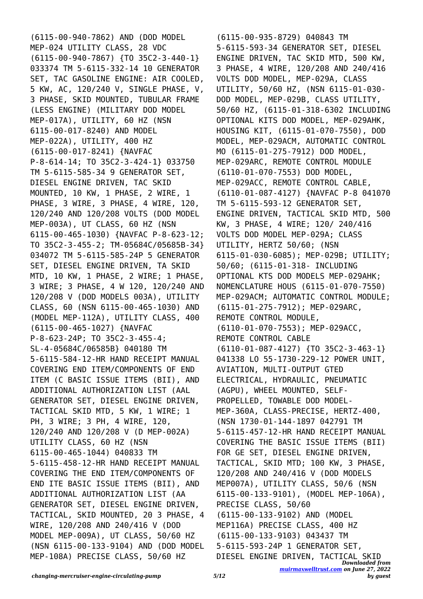(6115-00-940-7862) AND (DOD MODEL MEP-024 UTILITY CLASS, 28 VDC (6115-00-940-7867) {TO 35C2-3-440-1} 033374 TM 5-6115-332-14 10 GENERATOR SET, TAC GASOLINE ENGINE: AIR COOLED, 5 KW, AC, 120/240 V, SINGLE PHASE, V, 3 PHASE, SKID MOUNTED, TUBULAR FRAME (LESS ENGINE) (MILITARY DOD MODEL MEP-017A), UTILITY, 60 HZ (NSN 6115-00-017-8240) AND MODEL MEP-022A), UTILITY, 400 HZ (6115-00-017-8241) {NAVFAC P-8-614-14; TO 35C2-3-424-1} 033750 TM 5-6115-585-34 9 GENERATOR SET, DIESEL ENGINE DRIVEN, TAC SKID MOUNTED, 10 KW, 1 PHASE, 2 WIRE, 1 PHASE, 3 WIRE, 3 PHASE, 4 WIRE, 120, 120/240 AND 120/208 VOLTS (DOD MODEL MEP-003A), UT CLASS, 60 HZ (NSN 6115-00-465-1030) {NAVFAC P-8-623-12; TO 35C2-3-455-2; TM-05684C/05685B-34} 034072 TM 5-6115-585-24P 5 GENERATOR SET, DIESEL ENGINE DRIVEN, TA SKID MTD, 10 KW, 1 PHASE, 2 WIRE; 1 PHASE, 3 WIRE; 3 PHASE, 4 W 120, 120/240 AND 120/208 V (DOD MODELS 003A), UTILITY CLASS, 60 (NSN 6115-00-465-1030) AND (MODEL MEP-112A), UTILITY CLASS, 400 (6115-00-465-1027) {NAVFAC P-8-623-24P; TO 35C2-3-455-4; SL-4-05684C/06585B} 040180 TM 5-6115-584-12-HR HAND RECEIPT MANUAL COVERING END ITEM/COMPONENTS OF END ITEM (C BASIC ISSUE ITEMS (BII), AND ADDITIONAL AUTHORIZATION LIST (AAL GENERATOR SET, DIESEL ENGINE DRIVEN, TACTICAL SKID MTD, 5 KW, 1 WIRE; 1 PH, 3 WIRE; 3 PH, 4 WIRE, 120, 120/240 AND 120/208 V (D MEP-002A) UTILITY CLASS, 60 HZ (NSN 6115-00-465-1044) 040833 TM 5-6115-458-12-HR HAND RECEIPT MANUAL COVERING THE END ITEM/COMPONENTS OF END ITE BASIC ISSUE ITEMS (BII), AND ADDITIONAL AUTHORIZATION LIST (AA GENERATOR SET, DIESEL ENGINE DRIVEN, TACTICAL, SKID MOUNTED, 20 3 PHASE, 4 WIRE, 120/208 AND 240/416 V (DOD MODEL MEP-009A), UT CLASS, 50/60 HZ (NSN 6115-00-133-9104) AND (DOD MODEL MEP-108A) PRECISE CLASS, 50/60 HZ

*Downloaded from* (6115-00-935-8729) 040843 TM 5-6115-593-34 GENERATOR SET, DIESEL ENGINE DRIVEN, TAC SKID MTD, 500 KW, 3 PHASE, 4 WIRE, 120/208 AND 240/416 VOLTS DOD MODEL, MEP-029A, CLASS UTILITY, 50/60 HZ, (NSN 6115-01-030- DOD MODEL, MEP-029B, CLASS UTILITY, 50/60 HZ, (6115-01-318-6302 INCLUDING OPTIONAL KITS DOD MODEL, MEP-029AHK, HOUSING KIT, (6115-01-070-7550), DOD MODEL, MEP-029ACM, AUTOMATIC CONTROL MO (6115-01-275-7912) DOD MODEL, MEP-029ARC, REMOTE CONTROL MODULE (6110-01-070-7553) DOD MODEL, MEP-029ACC, REMOTE CONTROL CABLE, (6110-01-087-4127) {NAVFAC P-8 041070 TM 5-6115-593-12 GENERATOR SET, ENGINE DRIVEN, TACTICAL SKID MTD, 500 KW, 3 PHASE, 4 WIRE; 120/ 240/416 VOLTS DOD MODEL MEP-029A; CLASS UTILITY, HERTZ 50/60; (NSN 6115-01-030-6085); MEP-029B; UTILITY; 50/60; (6115-01-318- INCLUDING OPTIONAL KTS DOD MODELS MEP-029AHK; NOMENCLATURE HOUS (6115-01-070-7550) MEP-029ACM; AUTOMATIC CONTROL MODULE; (6115-01-275-7912); MEP-029ARC, REMOTE CONTROL MODULE, (6110-01-070-7553); MEP-029ACC, REMOTE CONTROL CABLE (6110-01-087-4127) {TO 35C2-3-463-1} 041338 LO 55-1730-229-12 POWER UNIT, AVIATION, MULTI-OUTPUT GTED ELECTRICAL, HYDRAULIC, PNEUMATIC (AGPU), WHEEL MOUNTED, SELF-PROPELLED, TOWABLE DOD MODEL-MEP-360A, CLASS-PRECISE, HERTZ-400, (NSN 1730-01-144-1897 042791 TM 5-6115-457-12-HR HAND RECEIPT MANUAL COVERING THE BASIC ISSUE ITEMS (BII) FOR GE SET, DIESEL ENGINE DRIVEN, TACTICAL, SKID MTD; 100 KW, 3 PHASE, 120/208 AND 240/416 V (DOD MODELS MEP007A), UTILITY CLASS, 50/6 (NSN 6115-00-133-9101), (MODEL MEP-106A), PRECISE CLASS, 50/60 (6115-00-133-9102) AND (MODEL MEP116A) PRECISE CLASS, 400 HZ (6115-00-133-9103) 043437 TM 5-6115-593-24P 1 GENERATOR SET, DIESEL ENGINE DRIVEN, TACTICAL SKID

*[muirmaxwelltrust.com](https://muirmaxwelltrust.com) on June 27, 2022*

*by guest*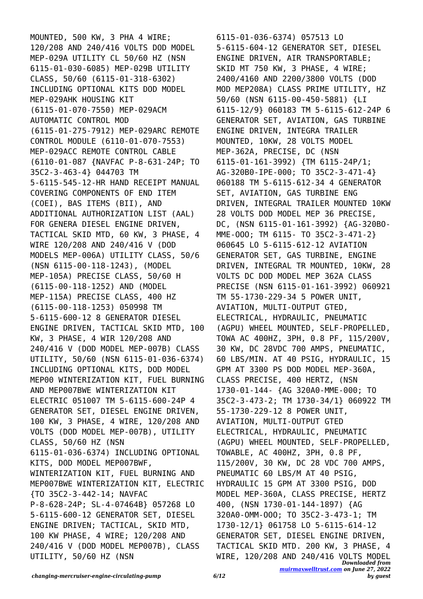MOUNTED, 500 KW, 3 PHA 4 WIRE; 120/208 AND 240/416 VOLTS DOD MODEL MEP-029A UTILITY CL 50/60 HZ (NSN 6115-01-030-6085) MEP-029B UTILITY CLASS, 50/60 (6115-01-318-6302) INCLUDING OPTIONAL KITS DOD MODEL MEP-029AHK HOUSING KIT (6115-01-070-7550) MEP-029ACM AUTOMATIC CONTROL MOD (6115-01-275-7912) MEP-029ARC REMOTE CONTROL MODULE (6110-01-070-7553) MEP-029ACC REMOTE CONTROL CABLE (6110-01-087 {NAVFAC P-8-631-24P; TO 35C2-3-463-4} 044703 TM 5-6115-545-12-HR HAND RECEIPT MANUAL COVERING COMPONENTS OF END ITEM (COEI), BAS ITEMS (BII), AND ADDITIONAL AUTHORIZATION LIST (AAL) FOR GENERA DIESEL ENGINE DRIVEN, TACTICAL SKID MTD, 60 KW, 3 PHASE, 4 WIRE 120/208 AND 240/416 V (DOD MODELS MEP-006A) UTILITY CLASS, 50/6 (NSN 6115-00-118-1243), (MODEL MEP-105A) PRECISE CLASS, 50/60 H (6115-00-118-1252) AND (MODEL MEP-115A) PRECISE CLASS, 400 HZ (6115-00-118-1253) 050998 TM 5-6115-600-12 8 GENERATOR DIESEL ENGINE DRIVEN, TACTICAL SKID MTD, 100 KW, 3 PHASE, 4 WIR 120/208 AND 240/416 V (DOD MODEL MEP-007B) CLASS UTILITY, 50/60 (NSN 6115-01-036-6374) INCLUDING OPTIONAL KITS, DOD MODEL MEP00 WINTERIZATION KIT, FUEL BURNING AND MEP007BWE WINTERIZATION KIT ELECTRIC 051007 TM 5-6115-600-24P 4 GENERATOR SET, DIESEL ENGINE DRIVEN, 100 KW, 3 PHASE, 4 WIRE, 120/208 AND VOLTS (DOD MODEL MEP-007B), UTILITY CLASS, 50/60 HZ (NSN 6115-01-036-6374) INCLUDING OPTIONAL KITS, DOD MODEL MEP007BWF, WINTERIZATION KIT, FUEL BURNING AND MEP007BWE WINTERIZATION KIT, ELECTRIC {TO 35C2-3-442-14; NAVFAC P-8-628-24P; SL-4-07464B} 057268 LO 5-6115-600-12 GENERATOR SET, DIESEL ENGINE DRIVEN; TACTICAL, SKID MTD, 100 KW PHASE, 4 WIRE; 120/208 AND 240/416 V (DOD MODEL MEP007B), CLASS UTILITY, 50/60 HZ (NSN

*Downloaded from* 6115-01-036-6374) 057513 LO 5-6115-604-12 GENERATOR SET, DIESEL ENGINE DRIVEN, AIR TRANSPORTABLE; SKID MT 750 KW, 3 PHASE, 4 WIRE; 2400/4160 AND 2200/3800 VOLTS (DOD MOD MEP208A) CLASS PRIME UTILITY, HZ 50/60 (NSN 6115-00-450-5881) {LI 6115-12/9} 060183 TM 5-6115-612-24P 6 GENERATOR SET, AVIATION, GAS TURBINE ENGINE DRIVEN, INTEGRA TRAILER MOUNTED, 10KW, 28 VOLTS MODEL MEP-362A, PRECISE, DC (NSN 6115-01-161-3992) {TM 6115-24P/1; AG-320B0-IPE-000; TO 35C2-3-471-4} 060188 TM 5-6115-612-34 4 GENERATOR SET, AVIATION, GAS TURBINE ENG DRIVEN, INTEGRAL TRAILER MOUNTED 10KW 28 VOLTS DOD MODEL MEP 36 PRECISE, DC, (NSN 6115-01-161-3992) {AG-320BO-MME-OOO; TM 6115- TO 35C2-3-471-2} 060645 LO 5-6115-612-12 AVIATION GENERATOR SET, GAS TURBINE, ENGINE DRIVEN, INTEGRAL TR MOUNTED, 10KW, 28 VOLTS DC DOD MODEL MEP 362A CLASS PRECISE (NSN 6115-01-161-3992) 060921 TM 55-1730-229-34 5 POWER UNIT, AVIATION, MULTI-OUTPUT GTED, ELECTRICAL, HYDRAULIC, PNEUMATIC (AGPU) WHEEL MOUNTED, SELF-PROPELLED, TOWA AC 400HZ, 3PH, 0.8 PF, 115/200V, 30 KW, DC 28VDC 700 AMPS, PNEUMATIC, 60 LBS/MIN. AT 40 PSIG, HYDRAULIC, 15 GPM AT 3300 PS DOD MODEL MEP-360A, CLASS PRECISE, 400 HERTZ, (NSN 1730-01-144- {AG 320A0-MME-000; TO 35C2-3-473-2; TM 1730-34/1} 060922 TM 55-1730-229-12 8 POWER UNIT, AVIATION, MULTI-OUTPUT GTED ELECTRICAL, HYDRAULIC, PNEUMATIC (AGPU) WHEEL MOUNTED, SELF-PROPELLED, TOWABLE, AC 400HZ, 3PH, 0.8 PF, 115/200V, 30 KW, DC 28 VDC 700 AMPS, PNEUMATIC 60 LBS/M AT 40 PSIG, HYDRAULIC 15 GPM AT 3300 PSIG, DOD MODEL MEP-360A, CLASS PRECISE, HERTZ 400, (NSN 1730-01-144-1897) {AG 320A0-OMM-OOO; TO 35C2-3-473-1; TM 1730-12/1} 061758 LO 5-6115-614-12 GENERATOR SET, DIESEL ENGINE DRIVEN, TACTICAL SKID MTD. 200 KW, 3 PHASE, 4 WIRE, 120/208 AND 240/416 VOLTS MODEL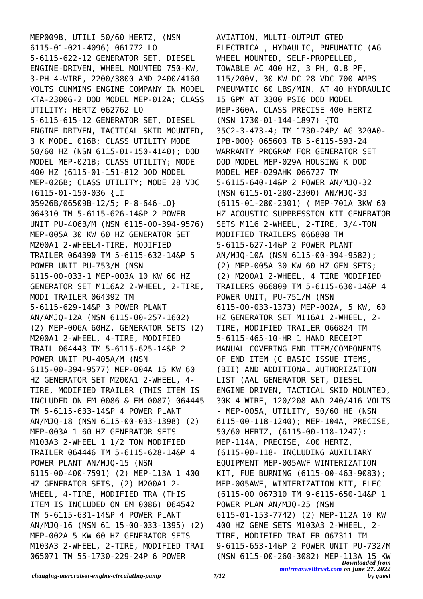MEP009B, UTILI 50/60 HERTZ, (NSN 6115-01-021-4096) 061772 LO 5-6115-622-12 GENERATOR SET, DIESEL ENGINE-DRIVEN, WHEEL MOUNTED 750-KW, 3-PH 4-WIRE, 2200/3800 AND 2400/4160 VOLTS CUMMINS ENGINE COMPANY IN MODEL KTA-2300G-2 DOD MODEL MEP-012A; CLASS UTILITY; HERTZ 062762 LO 5-6115-615-12 GENERATOR SET, DIESEL ENGINE DRIVEN, TACTICAL SKID MOUNTED, 3 K MODEL 016B; CLASS UTILITY MODE 50/60 HZ (NSN 6115-01-150-4140); DOD MODEL MEP-021B; CLASS UTILITY; MODE 400 HZ (6115-01-151-812 DOD MODEL MEP-026B; CLASS UTILITY; MODE 28 VDC (6115-01-150-036 {LI 05926B/06509B-12/5; P-8-646-LO} 064310 TM 5-6115-626-14&P 2 POWER UNIT PU-406B/M (NSN 6115-00-394-9576) MEP-005A 30 KW 60 HZ GENERATOR SET M200A1 2-WHEEL4-TIRE, MODIFIED TRAILER 064390 TM 5-6115-632-14&P 5 POWER UNIT PU-753/M (NSN 6115-00-033-1 MEP-003A 10 KW 60 HZ GENERATOR SET M116A2 2-WHEEL, 2-TIRE, MODI TRAILER 064392 TM 5-6115-629-14&P 3 POWER PLANT AN/AMJQ-12A (NSN 6115-00-257-1602) (2) MEP-006A 60HZ, GENERATOR SETS (2) M200A1 2-WHEEL, 4-TIRE, MODIFIED TRAIL 064443 TM 5-6115-625-14&P 2 POWER UNIT PU-405A/M (NSN 6115-00-394-9577) MEP-004A 15 KW 60 HZ GENERATOR SET M200A1 2-WHEEL, 4- TIRE, MODIFIED TRAILER (THIS ITEM IS INCLUDED ON EM 0086 & EM 0087) 064445 TM 5-6115-633-14&P 4 POWER PLANT AN/MJQ-18 (NSN 6115-00-033-1398) (2) MEP-003A 1 60 HZ GENERATOR SETS M103A3 2-WHEEL 1 1/2 TON MODIFIED TRAILER 064446 TM 5-6115-628-14&P 4 POWER PLANT AN/MJQ-15 (NSN 6115-00-400-7591) (2) MEP-113A 1 400 HZ GENERATOR SETS, (2) M200A1 2- WHEEL, 4-TIRE, MODIFIED TRA (THIS ITEM IS INCLUDED ON EM 0086) 064542 TM 5-6115-631-14&P 4 POWER PLANT AN/MJQ-16 (NSN 61 15-00-033-1395) (2) MEP-002A 5 KW 60 HZ GENERATOR SETS M103A3 2-WHEEL, 2-TIRE, MODIFIED TRAI 065071 TM 55-1730-229-24P 6 POWER

*Downloaded from [muirmaxwelltrust.com](https://muirmaxwelltrust.com) on June 27, 2022* AVIATION, MULTI-OUTPUT GTED ELECTRICAL, HYDAULIC, PNEUMATIC (AG WHEEL MOUNTED, SELF-PROPELLED, TOWABLE AC 400 HZ, 3 PH, 0.8 PF, 115/200V, 30 KW DC 28 VDC 700 AMPS PNEUMATIC 60 LBS/MIN. AT 40 HYDRAULIC 15 GPM AT 3300 PSIG DOD MODEL MEP-360A, CLASS PRECISE 400 HERTZ (NSN 1730-01-144-1897) {TO 35C2-3-473-4; TM 1730-24P/ AG 320A0- IPB-000} 065603 TB 5-6115-593-24 WARRANTY PROGRAM FOR GENERATOR SET DOD MODEL MEP-029A HOUSING K DOD MODEL MEP-029AHK 066727 TM 5-6115-640-14&P 2 POWER AN/MJQ-32 (NSN 6115-01-280-2300) AN/MJQ-33 (6115-01-280-2301) ( MEP-701A 3KW 60 HZ ACOUSTIC SUPPRESSION KIT GENERATOR SETS M116 2-WHEEL, 2-TIRE, 3/4-TON MODIFIED TRAILERS 066808 TM 5-6115-627-14&P 2 POWER PLANT AN/MJQ-10A (NSN 6115-00-394-9582); (2) MEP-005A 30 KW 60 HZ GEN SETS; (2) M200A1 2-WHEEL, 4 TIRE MODIFIED TRAILERS 066809 TM 5-6115-630-14&P 4 POWER UNIT, PU-751/M (NSN 6115-00-033-1373) MEP-002A, 5 KW, 60 HZ GENERATOR SET M116A1 2-WHEEL, 2- TIRE, MODIFIED TRAILER 066824 TM 5-6115-465-10-HR 1 HAND RECEIPT MANUAL COVERING END ITEM/COMPONENTS OF END ITEM (C BASIC ISSUE ITEMS, (BII) AND ADDITIONAL AUTHORIZATION LIST (AAL GENERATOR SET, DIESEL ENGINE DRIVEN, TACTICAL SKID MOUNTED, 30K 4 WIRE, 120/208 AND 240/416 VOLTS - MEP-005A, UTILITY, 50/60 HE (NSN 6115-00-118-1240); MEP-104A, PRECISE, 50/60 HERTZ, (6115-00-118-1247): MEP-114A, PRECISE, 400 HERTZ, (6115-00-118- INCLUDING AUXILIARY EQUIPMENT MEP-005AWF WINTERIZATION KIT, FUE BURNING (6115-00-463-9083); MEP-005AWE, WINTERIZATION KIT, ELEC (6115-00 067310 TM 9-6115-650-14&P 1 POWER PLAN AN/MJQ-25 (NSN 6115-01-153-7742) (2) MEP-112A 10 KW 400 HZ GENE SETS M103A3 2-WHEEL, 2- TIRE, MODIFIED TRAILER 067311 TM 9-6115-653-14&P 2 POWER UNIT PU-732/M (NSN 6115-00-260-3082) MEP-113A 15 KW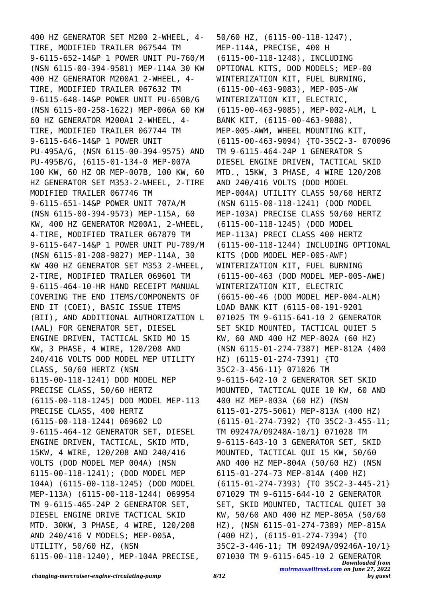400 HZ GENERATOR SET M200 2-WHEEL, 4- TIRE, MODIFIED TRAILER 067544 TM 9-6115-652-14&P 1 POWER UNIT PU-760/M (NSN 6115-00-394-9581) MEP-114A 30 KW 400 HZ GENERATOR M200A1 2-WHEEL, 4- TIRE, MODIFIED TRAILER 067632 TM 9-6115-648-14&P POWER UNIT PU-650B/G (NSN 6115-00-258-1622) MEP-006A 60 KW 60 HZ GENERATOR M200A1 2-WHEEL, 4- TIRE, MODIFIED TRAILER 067744 TM 9-6115-646-14&P 1 POWER UNIT PU-495A/G, (NSN 6115-00-394-9575) AND PU-495B/G, (6115-01-134-0 MEP-007A 100 KW, 60 HZ OR MEP-007B, 100 KW, 60 HZ GENERATOR SET M353-2-WHEEL, 2-TIRE MODIFIED TRAILER 067746 TM 9-6115-651-14&P POWER UNIT 707A/M (NSN 6115-00-394-9573) MEP-115A, 60 KW, 400 HZ GENERATOR M200A1, 2-WHEEL, 4-TIRE, MODIFIED TRAILER 067879 TM 9-6115-647-14&P 1 POWER UNIT PU-789/M (NSN 6115-01-208-9827) MEP-114A, 30 KW 400 HZ GENERATOR SET M353 2-WHEEL, 2-TIRE, MODIFIED TRAILER 069601 TM 9-6115-464-10-HR HAND RECEIPT MANUAL COVERING THE END ITEMS/COMPONENTS OF END IT (COEI), BASIC ISSUE ITEMS (BII), AND ADDITIONAL AUTHORIZATION L (AAL) FOR GENERATOR SET, DIESEL ENGINE DRIVEN, TACTICAL SKID MO 15 KW, 3 PHASE, 4 WIRE, 120/208 AND 240/416 VOLTS DOD MODEL MEP UTILITY CLASS, 50/60 HERTZ (NSN 6115-00-118-1241) DOD MODEL MEP PRECISE CLASS, 50/60 HERTZ (6115-00-118-1245) DOD MODEL MEP-113 PRECISE CLASS, 400 HERTZ (6115-00-118-1244) 069602 LO 9-6115-464-12 GENERATOR SET, DIESEL ENGINE DRIVEN, TACTICAL, SKID MTD, 15KW, 4 WIRE, 120/208 AND 240/416 VOLTS (DOD MODEL MEP 004A) (NSN 6115-00-118-1241); (DOD MODEL MEP 104A) (6115-00-118-1245) (DOD MODEL MEP-113A) (6115-00-118-1244) 069954 TM 9-6115-465-24P 2 GENERATOR SET, DIESEL ENGINE DRIVE TACTICAL SKID MTD. 30KW, 3 PHASE, 4 WIRE, 120/208 AND 240/416 V MODELS; MEP-005A, UTILITY, 50/60 HZ, (NSN 6115-00-118-1240), MEP-104A PRECISE,

*Downloaded from* 50/60 HZ, (6115-00-118-1247), MEP-114A, PRECISE, 400 H (6115-00-118-1248), INCLUDING OPTIONAL KITS, DOD MODELS; MEP-00 WINTERIZATION KIT, FUEL BURNING, (6115-00-463-9083), MEP-005-AW WINTERIZATION KIT, ELECTRIC, (6115-00-463-9085), MEP-002-ALM, L BANK KIT, (6115-00-463-9088), MEP-005-AWM, WHEEL MOUNTING KIT, (6115-00-463-9094) {TO-35C2-3- 070096 TM 9-6115-464-24P 1 GENERATOR S DIESEL ENGINE DRIVEN, TACTICAL SKID MTD., 15KW, 3 PHASE, 4 WIRE 120/208 AND 240/416 VOLTS (DOD MODEL MEP-004A) UTILITY CLASS 50/60 HERTZ (NSN 6115-00-118-1241) (DOD MODEL MEP-103A) PRECISE CLASS 50/60 HERTZ (6115-00-118-1245) (DOD MODEL MEP-113A) PRECI CLASS 400 HERTZ (6115-00-118-1244) INCLUDING OPTIONAL KITS (DOD MODEL MEP-005-AWF) WINTERIZATION KIT, FUEL BURNING (6115-00-463 (DOD MODEL MEP-005-AWE) WINTERIZATION KIT, ELECTRIC (6615-00-46 (DOD MODEL MEP-004-ALM) LOAD BANK KIT (6115-00-191-9201 071025 TM 9-6115-641-10 2 GENERATOR SET SKID MOUNTED, TACTICAL QUIET 5 KW, 60 AND 400 HZ MEP-802A (60 HZ) (NSN 6115-01-274-7387) MEP-812A (400 HZ) (6115-01-274-7391) {TO 35C2-3-456-11} 071026 TM 9-6115-642-10 2 GENERATOR SET SKID MOUNTED, TACTICAL QUIE 10 KW, 60 AND 400 HZ MEP-803A (60 HZ) (NSN 6115-01-275-5061) MEP-813A (400 HZ) (6115-01-274-7392) {TO 35C2-3-455-11; TM 09247A/09248A-10/1} 071028 TM 9-6115-643-10 3 GENERATOR SET, SKID MOUNTED, TACTICAL QUI 15 KW, 50/60 AND 400 HZ MEP-804A (50/60 HZ) (NSN 6115-01-274-73 MEP-814A (400 HZ) (6115-01-274-7393) {TO 35C2-3-445-21} 071029 TM 9-6115-644-10 2 GENERATOR SET, SKID MOUNTED, TACTICAL QUIET 30 KW, 50/60 AND 400 HZ MEP-805A (50/60 HZ), (NSN 6115-01-274-7389) MEP-815A (400 HZ), (6115-01-274-7394) {TO 35C2-3-446-11; TM 09249A/09246A-10/1} 071030 TM 9-6115-645-10 2 GENERATOR

*[muirmaxwelltrust.com](https://muirmaxwelltrust.com) on June 27, 2022*

*by guest*

*changing-mercruiser-engine-circulating-pump 8/12*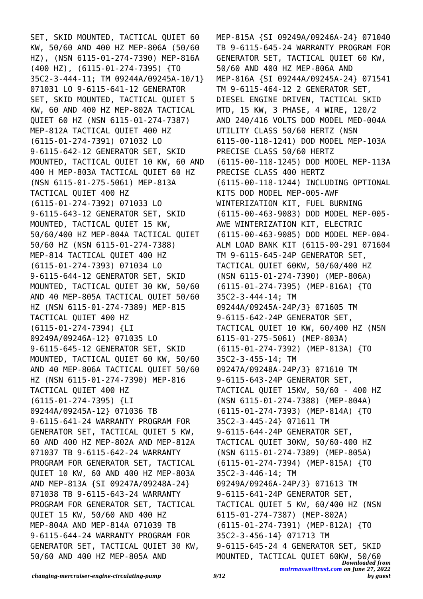SET, SKID MOUNTED, TACTICAL QUIET 60 KW, 50/60 AND 400 HZ MEP-806A (50/60 HZ), (NSN 6115-01-274-7390) MEP-816A (400 HZ), (6115-01-274-7395) {TO 35C2-3-444-11; TM 09244A/09245A-10/1} 071031 LO 9-6115-641-12 GENERATOR SET, SKID MOUNTED, TACTICAL QUIET 5 KW, 60 AND 400 HZ MEP-802A TACTICAL QUIET 60 HZ (NSN 6115-01-274-7387) MEP-812A TACTICAL QUIET 400 HZ (6115-01-274-7391) 071032 LO 9-6115-642-12 GENERATOR SET, SKID MOUNTED, TACTICAL QUIET 10 KW, 60 AND 400 H MEP-803A TACTICAL QUIET 60 HZ (NSN 6115-01-275-5061) MEP-813A TACTICAL QUIET 400 HZ (6115-01-274-7392) 071033 LO 9-6115-643-12 GENERATOR SET, SKID MOUNTED, TACTICAL QUIET 15 KW, 50/60/400 HZ MEP-804A TACTICAL QUIET 50/60 HZ (NSN 6115-01-274-7388) MEP-814 TACTICAL QUIET 400 HZ (6115-01-274-7393) 071034 LO 9-6115-644-12 GENERATOR SET, SKID MOUNTED, TACTICAL QUIET 30 KW, 50/60 AND 40 MEP-805A TACTICAL QUIET 50/60 HZ (NSN 6115-01-274-7389) MEP-815 TACTICAL QUIET 400 HZ (6115-01-274-7394) {LI 09249A/09246A-12} 071035 LO 9-6115-645-12 GENERATOR SET, SKID MOUNTED, TACTICAL QUIET 60 KW, 50/60 AND 40 MEP-806A TACTICAL QUIET 50/60 HZ (NSN 6115-01-274-7390) MEP-816 TACTICAL QUIET 400 HZ (6115-01-274-7395) {LI 09244A/09245A-12} 071036 TB 9-6115-641-24 WARRANTY PROGRAM FOR GENERATOR SET, TACTICAL QUIET 5 KW, 60 AND 400 HZ MEP-802A AND MEP-812A 071037 TB 9-6115-642-24 WARRANTY PROGRAM FOR GENERATOR SET, TACTICAL QUIET 10 KW, 60 AND 400 HZ MEP-803A AND MEP-813A {SI 09247A/09248A-24} 071038 TB 9-6115-643-24 WARRANTY PROGRAM FOR GENERATOR SET, TACTICAL QUIET 15 KW, 50/60 AND 400 HZ MEP-804A AND MEP-814A 071039 TB 9-6115-644-24 WARRANTY PROGRAM FOR GENERATOR SET, TACTICAL QUIET 30 KW, 50/60 AND 400 HZ MEP-805A AND

*Downloaded from* MOUNTED, TACTICAL QUIET 60KW, 50/60*[muirmaxwelltrust.com](https://muirmaxwelltrust.com) on June 27, 2022* MEP-815A {SI 09249A/09246A-24} 071040 TB 9-6115-645-24 WARRANTY PROGRAM FOR GENERATOR SET, TACTICAL QUIET 60 KW, 50/60 AND 400 HZ MEP-806A AND MEP-816A {SI 09244A/09245A-24} 071541 TM 9-6115-464-12 2 GENERATOR SET, DIESEL ENGINE DRIVEN, TACTICAL SKID MTD, 15 KW, 3 PHASE, 4 WIRE, 120/2 AND 240/416 VOLTS DOD MODEL MED-004A UTILITY CLASS 50/60 HERTZ (NSN 6115-00-118-1241) DOD MODEL MEP-103A PRECISE CLASS 50/60 HERTZ (6115-00-118-1245) DOD MODEL MEP-113A PRECISE CLASS 400 HERTZ (6115-00-118-1244) INCLUDING OPTIONAL KITS DOD MODEL MEP-005-AWF WINTERIZATION KIT, FUEL BURNING (6115-00-463-9083) DOD MODEL MEP-005- AWE WINTERIZATION KIT, ELECTRIC (6115-00-463-9085) DOD MODEL MEP-004- ALM LOAD BANK KIT (6115-00-291 071604 TM 9-6115-645-24P GENERATOR SET, TACTICAL QUIET 60KW, 50/60/400 HZ (NSN 6115-01-274-7390) (MEP-806A) (6115-01-274-7395) (MEP-816A) {TO 35C2-3-444-14; TM 09244A/09245A-24P/3} 071605 TM 9-6115-642-24P GENERATOR SET, TACTICAL QUIET 10 KW, 60/400 HZ (NSN 6115-01-275-5061) (MEP-803A) (6115-01-274-7392) (MEP-813A) {TO 35C2-3-455-14; TM 09247A/09248A-24P/3} 071610 TM 9-6115-643-24P GENERATOR SET, TACTICAL QUIET 15KW, 50/60 - 400 HZ (NSN 6115-01-274-7388) (MEP-804A) (6115-01-274-7393) (MEP-814A) {TO 35C2-3-445-24} 071611 TM 9-6115-644-24P GENERATOR SET, TACTICAL QUIET 30KW, 50/60-400 HZ (NSN 6115-01-274-7389) (MEP-805A) (6115-01-274-7394) (MEP-815A) {TO 35C2-3-446-14; TM 09249A/09246A-24P/3} 071613 TM 9-6115-641-24P GENERATOR SET, TACTICAL QUIET 5 KW, 60/400 HZ (NSN 6115-01-274-7387) (MEP-802A) (6115-01-274-7391) (MEP-812A) {TO 35C2-3-456-14} 071713 TM 9-6115-645-24 4 GENERATOR SET, SKID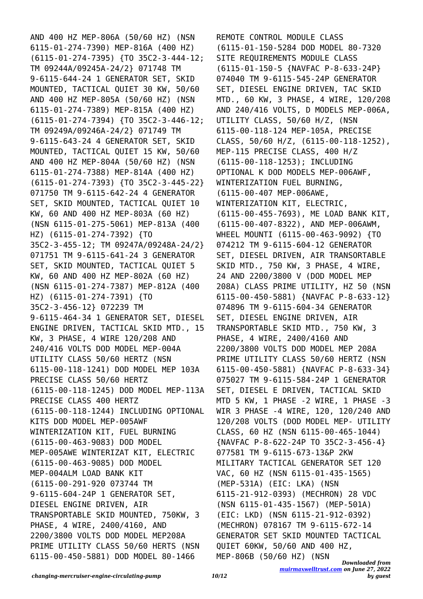AND 400 HZ MEP-806A (50/60 HZ) (NSN 6115-01-274-7390) MEP-816A (400 HZ) (6115-01-274-7395) {TO 35C2-3-444-12; TM 09244A/09245A-24/2} 071748 TM 9-6115-644-24 1 GENERATOR SET, SKID MOUNTED, TACTICAL QUIET 30 KW, 50/60 AND 400 HZ MEP-805A (50/60 HZ) (NSN 6115-01-274-7389) MEP-815A (400 HZ) (6115-01-274-7394) {TO 35C2-3-446-12; TM 09249A/09246A-24/2} 071749 TM 9-6115-643-24 4 GENERATOR SET, SKID MOUNTED, TACTICAL QUIET 15 KW, 50/60 AND 400 HZ MEP-804A (50/60 HZ) (NSN 6115-01-274-7388) MEP-814A (400 HZ) (6115-01-274-7393) {TO 35C2-3-445-22} 071750 TM 9-6115-642-24 4 GENERATOR SET, SKID MOUNTED, TACTICAL QUIET 10 KW, 60 AND 400 HZ MEP-803A (60 HZ) (NSN 6115-01-275-5061) MEP-813A (400 HZ) (6115-01-274-7392) {TO 35C2-3-455-12; TM 09247A/09248A-24/2} 071751 TM 9-6115-641-24 3 GENERATOR SET, SKID MOUNTED, TACTICAL QUIET 5 KW, 60 AND 400 HZ MEP-802A (60 HZ) (NSN 6115-01-274-7387) MEP-812A (400 HZ) (6115-01-274-7391) {TO 35C2-3-456-12} 072239 TM 9-6115-464-34 1 GENERATOR SET, DIESEL ENGINE DRIVEN, TACTICAL SKID MTD., 15 KW, 3 PHASE, 4 WIRE 120/208 AND 240/416 VOLTS DOD MODEL MEP-004A UTILITY CLASS 50/60 HERTZ (NSN 6115-00-118-1241) DOD MODEL MEP 103A PRECISE CLASS 50/60 HERTZ (6115-00-118-1245) DOD MODEL MEP-113A PRECISE CLASS 400 HERTZ (6115-00-118-1244) INCLUDING OPTIONAL KITS DOD MODEL MEP-005AWF WINTERIZATION KIT, FUEL BURNING (6115-00-463-9083) DOD MODEL MEP-005AWE WINTERIZAT KIT, ELECTRIC (6115-00-463-9085) DOD MODEL MEP-004ALM LOAD BANK KIT (6115-00-291-920 073744 TM 9-6115-604-24P 1 GENERATOR SET, DIESEL ENGINE DRIVEN, AIR TRANSPORTABLE SKID MOUNTED, 750KW, 3 PHASE, 4 WIRE, 2400/4160, AND 2200/3800 VOLTS DOD MODEL MEP208A PRIME UTILITY CLASS 50/60 HERTS (NSN 6115-00-450-5881) DOD MODEL 80-1466

*Downloaded from* REMOTE CONTROL MODULE CLASS (6115-01-150-5284 DOD MODEL 80-7320 SITE REQUIREMENTS MODULE CLASS (6115-01-150-5 {NAVFAC P-8-633-24P} 074040 TM 9-6115-545-24P GENERATOR SET, DIESEL ENGINE DRIVEN, TAC SKID MTD., 60 KW, 3 PHASE, 4 WIRE, 120/208 AND 240/416 VOLTS, D MODELS MEP-006A, UTILITY CLASS, 50/60 H/Z, (NSN 6115-00-118-124 MEP-105A, PRECISE CLASS, 50/60 H/Z, (6115-00-118-1252), MEP-115 PRECISE CLASS, 400 H/Z (6115-00-118-1253); INCLUDING OPTIONAL K DOD MODELS MEP-006AWF, WINTERIZATION FUEL BURNING, (6115-00-407 MEP-006AWE, WINTERIZATION KIT, ELECTRIC, (6115-00-455-7693), ME LOAD BANK KIT, (6115-00-407-8322), AND MEP-006AWM, WHEEL MOUNTI (6115-00-463-9092) {TO 074212 TM 9-6115-604-12 GENERATOR SET, DIESEL DRIVEN, AIR TRANSORTABLE SKID MTD., 750 KW, 3 PHASE, 4 WIRE, 24 AND 2200/3800 V (DOD MODEL MEP 208A) CLASS PRIME UTILITY, HZ 50 (NSN 6115-00-450-5881) {NAVFAC P-8-633-12} 074896 TM 9-6115-604-34 GENERATOR SET, DIESEL ENGINE DRIVEN, AIR TRANSPORTABLE SKID MTD., 750 KW, 3 PHASE, 4 WIRE, 2400/4160 AND 2200/3800 VOLTS DOD MODEL MEP 208A PRIME UTILITY CLASS 50/60 HERTZ (NSN 6115-00-450-5881) {NAVFAC P-8-633-34} 075027 TM 9-6115-584-24P 1 GENERATOR SET, DIESEL E DRIVEN, TACTICAL SKID MTD 5 KW, 1 PHASE -2 WIRE, 1 PHASE -3 WIR 3 PHASE -4 WIRE, 120, 120/240 AND 120/208 VOLTS (DOD MODEL MEP- UTILITY CLASS, 60 HZ (NSN 6115-00-465-1044) {NAVFAC P-8-622-24P TO 35C2-3-456-4} 077581 TM 9-6115-673-13&P 2KW MILITARY TACTICAL GENERATOR SET 120 VAC, 60 HZ (NSN 6115-01-435-1565) (MEP-531A) (EIC: LKA) (NSN 6115-21-912-0393) (MECHRON) 28 VDC (NSN 6115-01-435-1567) (MEP-501A) (EIC: LKD) (NSN 6115-21-912-0392) (MECHRON) 078167 TM 9-6115-672-14 GENERATOR SET SKID MOUNTED TACTICAL QUIET 60KW, 50/60 AND 400 HZ, MEP-806B (50/60 HZ) (NSN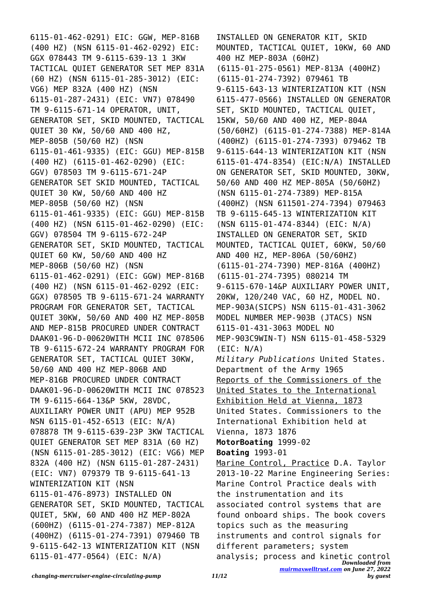6115-01-462-0291) EIC: GGW, MEP-816B (400 HZ) (NSN 6115-01-462-0292) EIC: GGX 078443 TM 9-6115-639-13 1 3KW TACTICAL QUIET GENERATOR SET MEP 831A (60 HZ) (NSN 6115-01-285-3012) (EIC: VG6) MEP 832A (400 HZ) (NSN 6115-01-287-2431) (EIC: VN7) 078490 TM 9-6115-671-14 OPERATOR, UNIT, GENERATOR SET, SKID MOUNTED, TACTICAL QUIET 30 KW, 50/60 AND 400 HZ, MEP-805B (50/60 HZ) (NSN 6115-01-461-9335) (EIC: GGU) MEP-815B (400 HZ) (6115-01-462-0290) (EIC: GGV) 078503 TM 9-6115-671-24P GENERATOR SET SKID MOUNTED, TACTICAL QUIET 30 KW, 50/60 AND 400 HZ MEP-805B (50/60 HZ) (NSN 6115-01-461-9335) (EIC: GGU) MEP-815B (400 HZ) (NSN 6115-01-462-0290) (EIC: GGV) 078504 TM 9-6115-672-24P GENERATOR SET, SKID MOUNTED, TACTICAL QUIET 60 KW, 50/60 AND 400 HZ MEP-806B (50/60 HZ) (NSN 6115-01-462-0291) (EIC: GGW) MEP-816B (400 HZ) (NSN 6115-01-462-0292 (EIC: GGX) 078505 TB 9-6115-671-24 WARRANTY PROGRAM FOR GENERATOR SET, TACTICAL QUIET 30KW, 50/60 AND 400 HZ MEP-805B AND MEP-815B PROCURED UNDER CONTRACT DAAK01-96-D-00620WITH MCII INC 078506 TB 9-6115-672-24 WARRANTY PROGRAM FOR GENERATOR SET, TACTICAL QUIET 30KW, 50/60 AND 400 HZ MEP-806B AND MEP-816B PROCURED UNDER CONTRACT DAAK01-96-D-00620WITH MCII INC 078523 TM 9-6115-664-13&P 5KW, 28VDC, AUXILIARY POWER UNIT (APU) MEP 952B NSN 6115-01-452-6513 (EIC: N/A) 078878 TM 9-6115-639-23P 3KW TACTICAL QUIET GENERATOR SET MEP 831A (60 HZ) (NSN 6115-01-285-3012) (EIC: VG6) MEP 832A (400 HZ) (NSN 6115-01-287-2431) (EIC: VN7) 079379 TB 9-6115-641-13 WINTERIZATION KIT (NSN 6115-01-476-8973) INSTALLED ON GENERATOR SET, SKID MOUNTED, TACTICAL QUIET, 5KW, 60 AND 400 HZ MEP-802A (600HZ) (6115-01-274-7387) MEP-812A (400HZ) (6115-01-274-7391) 079460 TB 9-6115-642-13 WINTERIZATION KIT (NSN 6115-01-477-0564) (EIC: N/A)

*Downloaded from* INSTALLED ON GENERATOR KIT, SKID MOUNTED, TACTICAL QUIET, 10KW, 60 AND 400 HZ MEP-803A (60HZ) (6115-01-275-0561) MEP-813A (400HZ) (6115-01-274-7392) 079461 TB 9-6115-643-13 WINTERIZATION KIT (NSN 6115-477-0566) INSTALLED ON GENERATOR SET, SKID MOUNTED, TACTICAL QUIET, 15KW, 50/60 AND 400 HZ, MEP-804A (50/60HZ) (6115-01-274-7388) MEP-814A (400HZ) (6115-01-274-7393) 079462 TB 9-6115-644-13 WINTERIZATION KIT (NSN 6115-01-474-8354) (EIC:N/A) INSTALLED ON GENERATOR SET, SKID MOUNTED, 30KW, 50/60 AND 400 HZ MEP-805A (50/60HZ) (NSN 6115-01-274-7389) MEP-815A (400HZ) (NSN 611501-274-7394) 079463 TB 9-6115-645-13 WINTERIZATION KIT (NSN 6115-01-474-8344) (EIC: N/A) INSTALLED ON GENERATOR SET, SKID MOUNTED, TACTICAL QUIET, 60KW, 50/60 AND 400 HZ, MEP-806A (50/60HZ) (6115-01-274-7390) MEP-816A (400HZ) (6115-01-274-7395) 080214 TM 9-6115-670-14&P AUXILIARY POWER UNIT, 20KW, 120/240 VAC, 60 HZ, MODEL NO. MEP-903A(SICPS) NSN 6115-01-431-3062 MODEL NUMBER MEP-903B (JTACS) NSN 6115-01-431-3063 MODEL NO MEP-903C9WIN-T) NSN 6115-01-458-5329 (EIC: N/A) *Military Publications* United States. Department of the Army 1965 Reports of the Commissioners of the United States to the International Exhibition Held at Vienna, 1873 United States. Commissioners to the International Exhibition held at Vienna, 1873 1876 **MotorBoating** 1999-02 **Boating** 1993-01 Marine Control, Practice D.A. Taylor 2013-10-22 Marine Engineering Series: Marine Control Practice deals with the instrumentation and its associated control systems that are found onboard ships. The book covers topics such as the measuring instruments and control signals for different parameters; system analysis; process and kinetic control